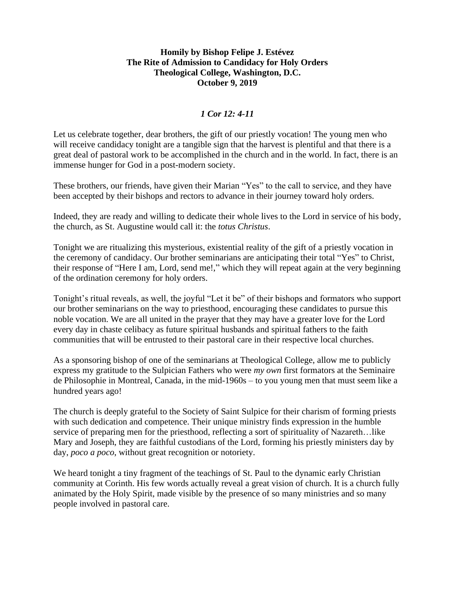## **Homily by Bishop Felipe J. Estévez The Rite of Admission to Candidacy for Holy Orders Theological College, Washington, D.C. October 9, 2019**

## *1 Cor 12: 4-11*

Let us celebrate together, dear brothers, the gift of our priestly vocation! The young men who will receive candidacy tonight are a tangible sign that the harvest is plentiful and that there is a great deal of pastoral work to be accomplished in the church and in the world. In fact, there is an immense hunger for God in a post-modern society.

These brothers, our friends, have given their Marian "Yes" to the call to service, and they have been accepted by their bishops and rectors to advance in their journey toward holy orders.

Indeed, they are ready and willing to dedicate their whole lives to the Lord in service of his body, the church, as St. Augustine would call it: the *totus Christus*.

Tonight we are ritualizing this mysterious, existential reality of the gift of a priestly vocation in the ceremony of candidacy. Our brother seminarians are anticipating their total "Yes" to Christ, their response of "Here I am, Lord, send me!," which they will repeat again at the very beginning of the ordination ceremony for holy orders.

Tonight's ritual reveals, as well, the joyful "Let it be" of their bishops and formators who support our brother seminarians on the way to priesthood, encouraging these candidates to pursue this noble vocation. We are all united in the prayer that they may have a greater love for the Lord every day in chaste celibacy as future spiritual husbands and spiritual fathers to the faith communities that will be entrusted to their pastoral care in their respective local churches.

As a sponsoring bishop of one of the seminarians at Theological College, allow me to publicly express my gratitude to the Sulpician Fathers who were *my own* first formators at the Seminaire de Philosophie in Montreal, Canada, in the mid-1960s – to you young men that must seem like a hundred years ago!

The church is deeply grateful to the Society of Saint Sulpice for their charism of forming priests with such dedication and competence. Their unique ministry finds expression in the humble service of preparing men for the priesthood, reflecting a sort of spirituality of Nazareth...like Mary and Joseph, they are faithful custodians of the Lord, forming his priestly ministers day by day, *poco a poco*, without great recognition or notoriety.

We heard tonight a tiny fragment of the teachings of St. Paul to the dynamic early Christian community at Corinth. His few words actually reveal a great vision of church. It is a church fully animated by the Holy Spirit, made visible by the presence of so many ministries and so many people involved in pastoral care.